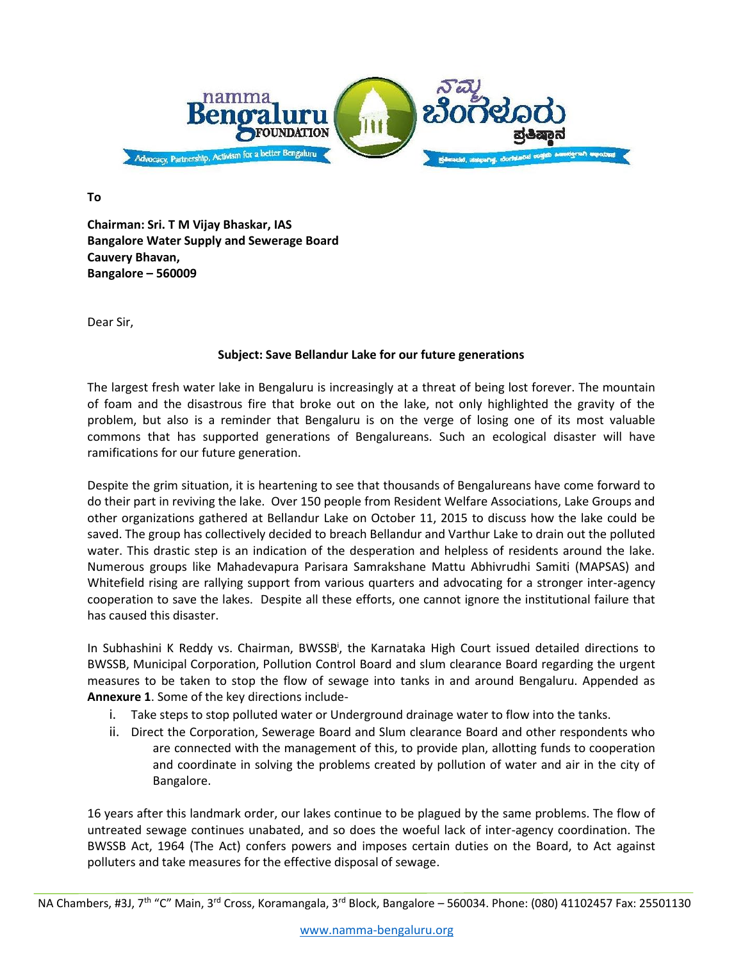

**To**

**Chairman: Sri. T M Vijay Bhaskar, IAS Bangalore Water Supply and Sewerage Board Cauvery Bhavan, Bangalore – 560009**

Dear Sir,

## **Subject: Save Bellandur Lake for our future generations**

The largest fresh water lake in Bengaluru is increasingly at a threat of being lost forever. The mountain of foam and the disastrous fire that broke out on the lake, not only highlighted the gravity of the problem, but also is a reminder that Bengaluru is on the verge of losing one of its most valuable commons that has supported generations of Bengalureans. Such an ecological disaster will have ramifications for our future generation.

Despite the grim situation, it is heartening to see that thousands of Bengalureans have come forward to do their part in reviving the lake. Over 150 people from Resident Welfare Associations, Lake Groups and other organizations gathered at Bellandur Lake on October 11, 2015 to discuss how the lake could be saved. The group has collectively decided to breach Bellandur and Varthur Lake to drain out the polluted water. This drastic step is an indication of the desperation and helpless of residents around the lake. Numerous groups like Mahadevapura Parisara Samrakshane Mattu Abhivrudhi Samiti (MAPSAS) and Whitefield rising are rallying support from various quarters and advocating for a stronger inter-agency cooperation to save the lakes. Despite all these efforts, one cannot ignore the institutional failure that has caused this disaster.

In Subhashini K Reddy vs. Chairman, BWSSB<sup>i</sup>, the Karnataka High Court issued detailed directions to BWSSB, Municipal Corporation, Pollution Control Board and slum clearance Board regarding the urgent measures to be taken to stop the flow of sewage into tanks in and around Bengaluru. Appended as **Annexure 1**. Some of the key directions include-

- i. Take steps to stop polluted water or Underground drainage water to flow into the tanks.
- ii. Direct the Corporation, Sewerage Board and Slum clearance Board and other respondents who are connected with the management of this, to provide plan, allotting funds to cooperation and coordinate in solving the problems created by pollution of water and air in the city of Bangalore.

16 years after this landmark order, our lakes continue to be plagued by the same problems. The flow of untreated sewage continues unabated, and so does the woeful lack of inter-agency coordination. The BWSSB Act, 1964 (The Act) confers powers and imposes certain duties on the Board, to Act against polluters and take measures for the effective disposal of sewage.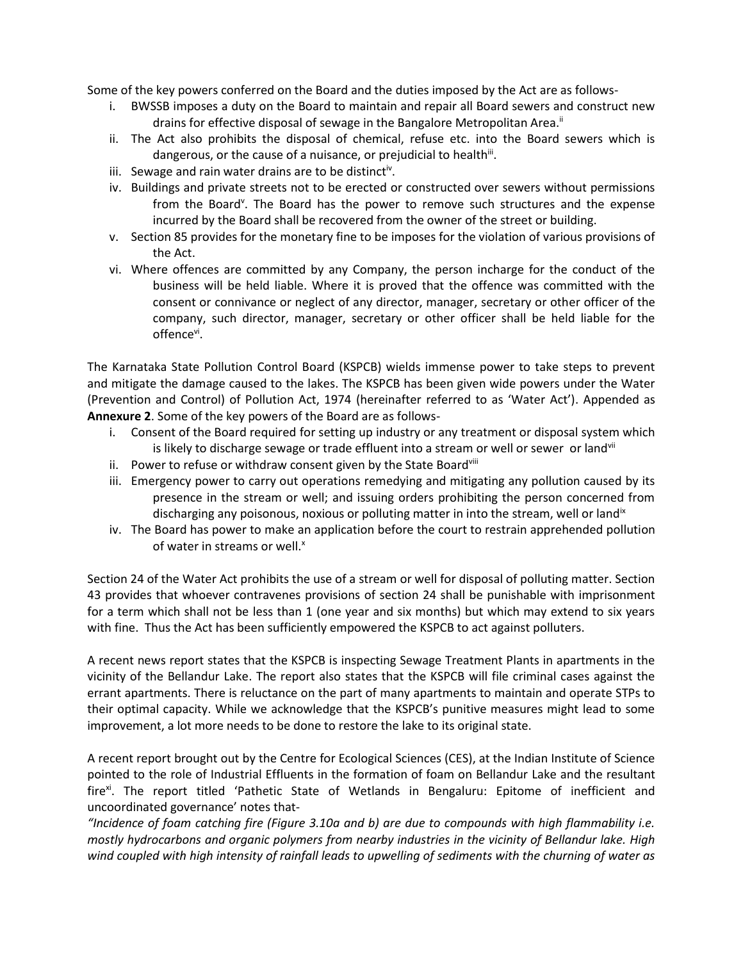Some of the key powers conferred on the Board and the duties imposed by the Act are as follows-

- i. BWSSB imposes a duty on the Board to maintain and repair all Board sewers and construct new drains for effective disposal of sewage in the Bangalore Metropolitan Area.<sup>ii</sup>
- ii. The Act also prohibits the disposal of chemical, refuse etc. into the Board sewers which is dangerous, or the cause of a nuisance, or prejudicial to health<sup>iii</sup>.
- iii. Sewage and rain water drains are to be distinct<sup>iv</sup>.
- iv. Buildings and private streets not to be erected or constructed over sewers without permissions from the Board<sup>v</sup>. The Board has the power to remove such structures and the expense incurred by the Board shall be recovered from the owner of the street or building.
- v. Section 85 provides for the monetary fine to be imposes for the violation of various provisions of the Act.
- vi. Where offences are committed by any Company, the person incharge for the conduct of the business will be held liable. Where it is proved that the offence was committed with the consent or connivance or neglect of any director, manager, secretary or other officer of the company, such director, manager, secretary or other officer shall be held liable for the offence<sup>vi</sup>.

The Karnataka State Pollution Control Board (KSPCB) wields immense power to take steps to prevent and mitigate the damage caused to the lakes. The KSPCB has been given wide powers under the Water (Prevention and Control) of Pollution Act, 1974 (hereinafter referred to as 'Water Act'). Appended as **Annexure 2**. Some of the key powers of the Board are as follows-

- i. Consent of the Board required for setting up industry or any treatment or disposal system which is likely to discharge sewage or trade effluent into a stream or well or sewer or land<sup>vii</sup>
- ii. Power to refuse or withdraw consent given by the State Boardviii
- iii. Emergency power to carry out operations remedying and mitigating any pollution caused by its presence in the stream or well; and issuing orders prohibiting the person concerned from discharging any poisonous, noxious or polluting matter in into the stream, well or land<sup>1x</sup>
- iv. The Board has power to make an application before the court to restrain apprehended pollution of water in streams or well.<sup>x</sup>

Section 24 of the Water Act prohibits the use of a stream or well for disposal of polluting matter. Section 43 provides that whoever contravenes provisions of section 24 shall be punishable with imprisonment for a term which shall not be less than 1 (one year and six months) but which may extend to six years with fine. Thus the Act has been sufficiently empowered the KSPCB to act against polluters.

A recent news report states that the KSPCB is inspecting Sewage Treatment Plants in apartments in the vicinity of the Bellandur Lake. The report also states that the KSPCB will file criminal cases against the errant apartments. There is reluctance on the part of many apartments to maintain and operate STPs to their optimal capacity. While we acknowledge that the KSPCB's punitive measures might lead to some improvement, a lot more needs to be done to restore the lake to its original state.

A recent report brought out by the Centre for Ecological Sciences (CES), at the Indian Institute of Science pointed to the role of Industrial Effluents in the formation of foam on Bellandur Lake and the resultant fire<sup>xi</sup>. The report titled 'Pathetic State of Wetlands in Bengaluru: Epitome of inefficient and uncoordinated governance' notes that-

*"Incidence of foam catching fire (Figure 3.10a and b) are due to compounds with high flammability i.e. mostly hydrocarbons and organic polymers from nearby industries in the vicinity of Bellandur lake. High wind coupled with high intensity of rainfall leads to upwelling of sediments with the churning of water as*